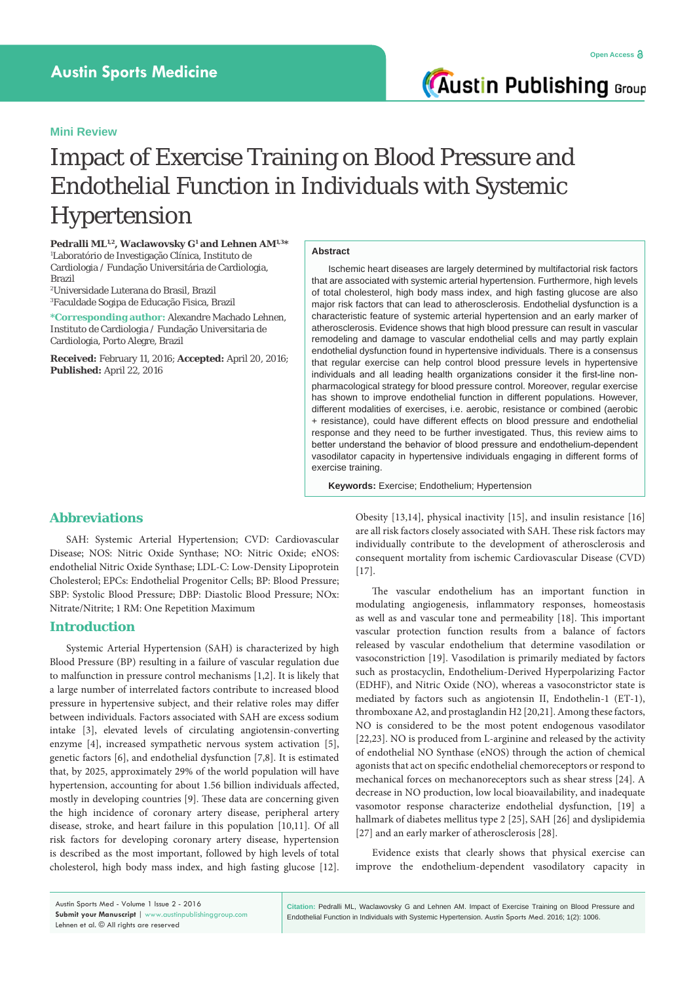**Austin Publishing Group** 

# Impact of Exercise Training on Blood Pressure and Endothelial Function in Individuals with Systemic Hypertension

**Pedralli ML1,2, Waclawovsky G1 and Lehnen AM1,3\*** 1 Laboratório de Investigação Clínica, Instituto de Cardiologia / Fundação Universitária de Cardiologia, Brazil

2 Universidade Luterana do Brasil, Brazil 3 Faculdade Sogipa de Educação Fisica, Brazil

**\*Corresponding author:** Alexandre Machado Lehnen, Instituto de Cardiologia / Fundação Universitaria de Cardiologia, Porto Alegre, Brazil

**Received:** February 11, 2016; **Accepted:** April 20, 2016; **Published:** April 22, 2016

### **Abstract**

Ischemic heart diseases are largely determined by multifactorial risk factors that are associated with systemic arterial hypertension. Furthermore, high levels of total cholesterol, high body mass index, and high fasting glucose are also major risk factors that can lead to atherosclerosis. Endothelial dysfunction is a characteristic feature of systemic arterial hypertension and an early marker of atherosclerosis. Evidence shows that high blood pressure can result in vascular remodeling and damage to vascular endothelial cells and may partly explain endothelial dysfunction found in hypertensive individuals. There is a consensus that regular exercise can help control blood pressure levels in hypertensive individuals and all leading health organizations consider it the first-line nonpharmacological strategy for blood pressure control. Moreover, regular exercise has shown to improve endothelial function in different populations. However, different modalities of exercises, i.e. aerobic, resistance or combined (aerobic + resistance), could have different effects on blood pressure and endothelial response and they need to be further investigated. Thus, this review aims to better understand the behavior of blood pressure and endothelium-dependent vasodilator capacity in hypertensive individuals engaging in different forms of exercise training.

**Keywords:** Exercise; Endothelium; Hypertension

## **Abbreviations**

SAH: Systemic Arterial Hypertension; CVD: Cardiovascular Disease; NOS: Nitric Oxide Synthase; NO: Nitric Oxide; eNOS: endothelial Nitric Oxide Synthase; LDL-C: Low-Density Lipoprotein Cholesterol; EPCs: Endothelial Progenitor Cells; BP: Blood Pressure; SBP: Systolic Blood Pressure; DBP: Diastolic Blood Pressure; NOx: Nitrate/Nitrite; 1 RM: One Repetition Maximum

#### **Introduction**

Systemic Arterial Hypertension (SAH) is characterized by high Blood Pressure (BP) resulting in a failure of vascular regulation due to malfunction in pressure control mechanisms [1,2]. It is likely that a large number of interrelated factors contribute to increased blood pressure in hypertensive subject, and their relative roles may differ between individuals. Factors associated with SAH are excess sodium intake [3], elevated levels of circulating angiotensin-converting enzyme [4], increased sympathetic nervous system activation [5], genetic factors [6], and endothelial dysfunction [7,8]. It is estimated that, by 2025, approximately 29% of the world population will have hypertension, accounting for about 1.56 billion individuals affected, mostly in developing countries [9]. These data are concerning given the high incidence of coronary artery disease, peripheral artery disease, stroke, and heart failure in this population [10,11]. Of all risk factors for developing coronary artery disease, hypertension is described as the most important, followed by high levels of total cholesterol, high body mass index, and high fasting glucose [12]. Obesity [13,14], physical inactivity [15], and insulin resistance [16] are all risk factors closely associated with SAH. These risk factors may individually contribute to the development of atherosclerosis and consequent mortality from ischemic Cardiovascular Disease (CVD) [17].

The vascular endothelium has an important function in modulating angiogenesis, inflammatory responses, homeostasis as well as and vascular tone and permeability [18]. This important vascular protection function results from a balance of factors released by vascular endothelium that determine vasodilation or vasoconstriction [19]. Vasodilation is primarily mediated by factors such as prostacyclin, Endothelium-Derived Hyperpolarizing Factor (EDHF), and Nitric Oxide (NO), whereas a vasoconstrictor state is mediated by factors such as angiotensin II, Endothelin-1 (ET-1), thromboxane A2, and prostaglandin H2 [20,21]. Among these factors, NO is considered to be the most potent endogenous vasodilator [22,23]. NO is produced from L-arginine and released by the activity of endothelial NO Synthase (eNOS) through the action of chemical agonists that act on specific endothelial chemoreceptors or respond to mechanical forces on mechanoreceptors such as shear stress [24]. A decrease in NO production, low local bioavailability, and inadequate vasomotor response characterize endothelial dysfunction, [19] a hallmark of diabetes mellitus type 2 [25], SAH [26] and dyslipidemia [27] and an early marker of atherosclerosis [28].

Evidence exists that clearly shows that physical exercise can improve the endothelium-dependent vasodilatory capacity in

**Citation:** Pedralli ML, Waclawovsky G and Lehnen AM. Impact of Exercise Training on Blood Pressure and Endothelial Function in Individuals with Systemic Hypertension. Austin Sports Med. 2016; 1(2): 1006.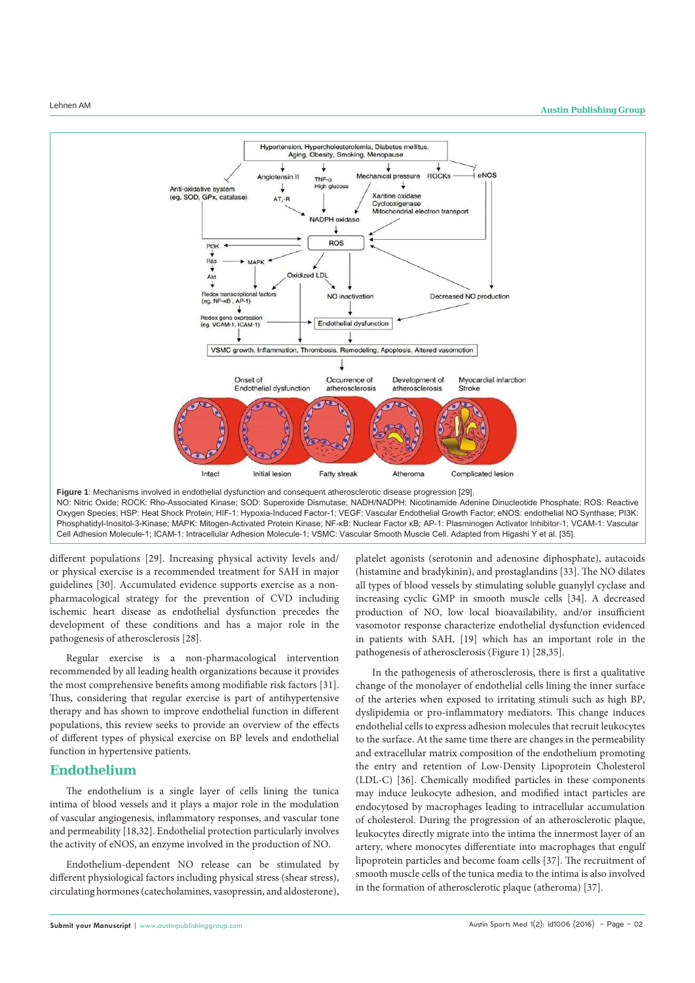

NO: Nitric Oxide; ROCK: Rho-Associated Kinase; SOD: Superoxide Dismutase; NADH/NADPH: Nicotinamide Adenine Dinucleotide Phosphate; ROS: Reactive Oxygen Species; HSP: Heat Shock Protein; HIF-1: Hypoxia-Induced Factor-1; VEGF: Vascular Endothelial Growth Factor; eNOS: endothelial NO Synthase; PI3K: Phosphatidyl-Inositol-3-Kinase; MAPK: Mitogen-Activated Protein Kinase; NF-κB: Nuclear Factor κB; AP-1: Plasminogen Activator Inhibitor-1; VCAM-1: Vascular Cell Adhesion Molecule-1; ICAM-1: Intracellular Adhesion Molecule-1; VSMC: Vascular Smooth Muscle Cell. Adapted from Higashi Y et al. [35].

different populations [29]. Increasing physical activity levels and/ or physical exercise is a recommended treatment for SAH in major guidelines [30]. Accumulated evidence supports exercise as a nonpharmacological strategy for the prevention of CVD including ischemic heart disease as endothelial dysfunction precedes the development of these conditions and has a major role in the pathogenesis of atherosclerosis [28].

Regular exercise is a non-pharmacological intervention recommended by all leading health organizations because it provides the most comprehensive benefits among modifiable risk factors [31]. Thus, considering that regular exercise is part of antihypertensive therapy and has shown to improve endothelial function in different populations, this review seeks to provide an overview of the effects of different types of physical exercise on BP levels and endothelial function in hypertensive patients.

### **Endothelium**

The endothelium is a single layer of cells lining the tunica intima of blood vessels and it plays a major role in the modulation of vascular angiogenesis, inflammatory responses, and vascular tone and permeability [18,32]. Endothelial protection particularly involves the activity of eNOS, an enzyme involved in the production of NO.

Endothelium-dependent NO release can be stimulated by different physiological factors including physical stress (shear stress), circulating hormones (catecholamines, vasopressin, and aldosterone),

platelet agonists (serotonin and adenosine diphosphate), autacoids (histamine and bradykinin), and prostaglandins [33]. The NO dilates all types of blood vessels by stimulating soluble guanylyl cyclase and increasing cyclic GMP in smooth muscle cells [34]. A decreased production of NO, low local bioavailability, and/or insufficient vasomotor response characterize endothelial dysfunction evidenced in patients with SAH, [19] which has an important role in the pathogenesis of atherosclerosis (Figure 1) [28,35].

In the pathogenesis of atherosclerosis, there is first a qualitative change of the monolayer of endothelial cells lining the inner surface of the arteries when exposed to irritating stimuli such as high BP, dyslipidemia or pro-inflammatory mediators. This change induces endothelial cells to express adhesion molecules that recruit leukocytes to the surface. At the same time there are changes in the permeability and extracellular matrix composition of the endothelium promoting the entry and retention of Low-Density Lipoprotein Cholesterol (LDL-C) [36]. Chemically modified particles in these components may induce leukocyte adhesion, and modified intact particles are endocytosed by macrophages leading to intracellular accumulation of cholesterol. During the progression of an atherosclerotic plaque, leukocytes directly migrate into the intima the innermost layer of an artery, where monocytes differentiate into macrophages that engulf lipoprotein particles and become foam cells [37]. The recruitment of smooth muscle cells of the tunica media to the intima is also involved in the formation of atherosclerotic plaque (atheroma) [37].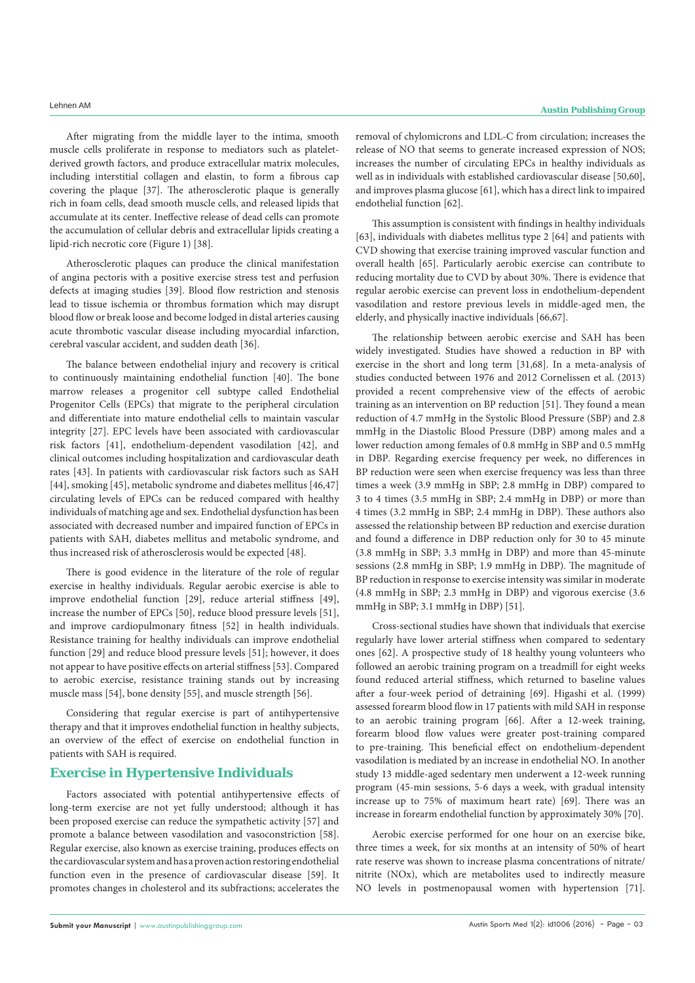After migrating from the middle layer to the intima, smooth muscle cells proliferate in response to mediators such as plateletderived growth factors, and produce extracellular matrix molecules, including interstitial collagen and elastin, to form a fibrous cap covering the plaque [37]. The atherosclerotic plaque is generally rich in foam cells, dead smooth muscle cells, and released lipids that accumulate at its center. Ineffective release of dead cells can promote the accumulation of cellular debris and extracellular lipids creating a lipid-rich necrotic core (Figure 1) [38].

Atherosclerotic plaques can produce the clinical manifestation of angina pectoris with a positive exercise stress test and perfusion defects at imaging studies [39]. Blood flow restriction and stenosis lead to tissue ischemia or thrombus formation which may disrupt blood flow or break loose and become lodged in distal arteries causing acute thrombotic vascular disease including myocardial infarction, cerebral vascular accident, and sudden death [36].

The balance between endothelial injury and recovery is critical to continuously maintaining endothelial function [40]. The bone marrow releases a progenitor cell subtype called Endothelial Progenitor Cells (EPCs) that migrate to the peripheral circulation and differentiate into mature endothelial cells to maintain vascular integrity [27]. EPC levels have been associated with cardiovascular risk factors [41], endothelium-dependent vasodilation [42], and clinical outcomes including hospitalization and cardiovascular death rates [43]. In patients with cardiovascular risk factors such as SAH [44], smoking [45], metabolic syndrome and diabetes mellitus [46,47] circulating levels of EPCs can be reduced compared with healthy individuals of matching age and sex. Endothelial dysfunction has been associated with decreased number and impaired function of EPCs in patients with SAH, diabetes mellitus and metabolic syndrome, and thus increased risk of atherosclerosis would be expected [48].

There is good evidence in the literature of the role of regular exercise in healthy individuals. Regular aerobic exercise is able to improve endothelial function [29], reduce arterial stiffness [49], increase the number of EPCs [50], reduce blood pressure levels [51], and improve cardiopulmonary fitness [52] in health individuals. Resistance training for healthy individuals can improve endothelial function [29] and reduce blood pressure levels [51]; however, it does not appear to have positive effects on arterial stiffness [53]. Compared to aerobic exercise, resistance training stands out by increasing muscle mass [54], bone density [55], and muscle strength [56].

Considering that regular exercise is part of antihypertensive therapy and that it improves endothelial function in healthy subjects, an overview of the effect of exercise on endothelial function in patients with SAH is required.

### **Exercise in Hypertensive Individuals**

Factors associated with potential antihypertensive effects of long-term exercise are not yet fully understood; although it has been proposed exercise can reduce the sympathetic activity [57] and promote a balance between vasodilation and vasoconstriction [58]. Regular exercise, also known as exercise training, produces effects on the cardiovascular system and has a proven action restoring endothelial function even in the presence of cardiovascular disease [59]. It promotes changes in cholesterol and its subfractions; accelerates the

removal of chylomicrons and LDL-C from circulation; increases the release of NO that seems to generate increased expression of NOS; increases the number of circulating EPCs in healthy individuals as well as in individuals with established cardiovascular disease [50,60], and improves plasma glucose [61], which has a direct link to impaired endothelial function [62].

This assumption is consistent with findings in healthy individuals [63], individuals with diabetes mellitus type 2 [64] and patients with CVD showing that exercise training improved vascular function and overall health [65]. Particularly aerobic exercise can contribute to reducing mortality due to CVD by about 30%. There is evidence that regular aerobic exercise can prevent loss in endothelium-dependent vasodilation and restore previous levels in middle-aged men, the elderly, and physically inactive individuals [66,67].

The relationship between aerobic exercise and SAH has been widely investigated. Studies have showed a reduction in BP with exercise in the short and long term [31,68]. In a meta-analysis of studies conducted between 1976 and 2012 Cornelissen et al. (2013) provided a recent comprehensive view of the effects of aerobic training as an intervention on BP reduction [51]. They found a mean reduction of 4.7 mmHg in the Systolic Blood Pressure (SBP) and 2.8 mmHg in the Diastolic Blood Pressure (DBP) among males and a lower reduction among females of 0.8 mmHg in SBP and 0.5 mmHg in DBP. Regarding exercise frequency per week, no differences in BP reduction were seen when exercise frequency was less than three times a week (3.9 mmHg in SBP; 2.8 mmHg in DBP) compared to 3 to 4 times (3.5 mmHg in SBP; 2.4 mmHg in DBP) or more than 4 times (3.2 mmHg in SBP; 2.4 mmHg in DBP). These authors also assessed the relationship between BP reduction and exercise duration and found a difference in DBP reduction only for 30 to 45 minute (3.8 mmHg in SBP; 3.3 mmHg in DBP) and more than 45-minute sessions (2.8 mmHg in SBP; 1.9 mmHg in DBP). The magnitude of BP reduction in response to exercise intensity was similar in moderate (4.8 mmHg in SBP; 2.3 mmHg in DBP) and vigorous exercise (3.6 mmHg in SBP; 3.1 mmHg in DBP) [51].

Cross-sectional studies have shown that individuals that exercise regularly have lower arterial stiffness when compared to sedentary ones [62]. A prospective study of 18 healthy young volunteers who followed an aerobic training program on a treadmill for eight weeks found reduced arterial stiffness, which returned to baseline values after a four-week period of detraining [69]. Higashi et al. (1999) assessed forearm blood flow in 17 patients with mild SAH in response to an aerobic training program [66]. After a 12-week training, forearm blood flow values were greater post-training compared to pre-training. This beneficial effect on endothelium-dependent vasodilation is mediated by an increase in endothelial NO. In another study 13 middle-aged sedentary men underwent a 12-week running program (45-min sessions, 5-6 days a week, with gradual intensity increase up to 75% of maximum heart rate) [69]. There was an increase in forearm endothelial function by approximately 30% [70].

Aerobic exercise performed for one hour on an exercise bike, three times a week, for six months at an intensity of 50% of heart rate reserve was shown to increase plasma concentrations of nitrate/ nitrite (NOx), which are metabolites used to indirectly measure NO levels in postmenopausal women with hypertension [71].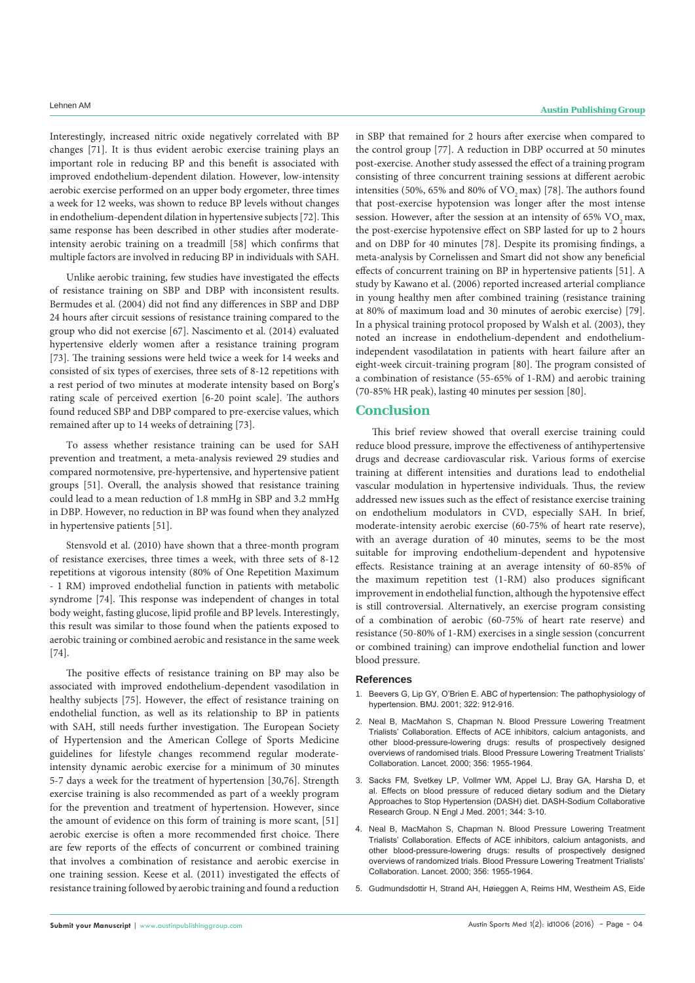Interestingly, increased nitric oxide negatively correlated with BP changes [71]. It is thus evident aerobic exercise training plays an important role in reducing BP and this benefit is associated with improved endothelium-dependent dilation. However, low-intensity aerobic exercise performed on an upper body ergometer, three times a week for 12 weeks, was shown to reduce BP levels without changes in endothelium-dependent dilation in hypertensive subjects [72]. This same response has been described in other studies after moderateintensity aerobic training on a treadmill [58] which confirms that multiple factors are involved in reducing BP in individuals with SAH.

Unlike aerobic training, few studies have investigated the effects of resistance training on SBP and DBP with inconsistent results. Bermudes et al. (2004) did not find any differences in SBP and DBP 24 hours after circuit sessions of resistance training compared to the group who did not exercise [67]. Nascimento et al. (2014) evaluated hypertensive elderly women after a resistance training program [73]. The training sessions were held twice a week for 14 weeks and consisted of six types of exercises, three sets of 8-12 repetitions with a rest period of two minutes at moderate intensity based on Borg's rating scale of perceived exertion [6-20 point scale]. The authors found reduced SBP and DBP compared to pre-exercise values, which remained after up to 14 weeks of detraining [73].

To assess whether resistance training can be used for SAH prevention and treatment, a meta-analysis reviewed 29 studies and compared normotensive, pre-hypertensive, and hypertensive patient groups [51]. Overall, the analysis showed that resistance training could lead to a mean reduction of 1.8 mmHg in SBP and 3.2 mmHg in DBP. However, no reduction in BP was found when they analyzed in hypertensive patients [51].

Stensvold et al. (2010) have shown that a three-month program of resistance exercises, three times a week, with three sets of 8-12 repetitions at vigorous intensity (80% of One Repetition Maximum - 1 RM) improved endothelial function in patients with metabolic syndrome [74]. This response was independent of changes in total body weight, fasting glucose, lipid profile and BP levels. Interestingly, this result was similar to those found when the patients exposed to aerobic training or combined aerobic and resistance in the same week [74].

The positive effects of resistance training on BP may also be associated with improved endothelium-dependent vasodilation in healthy subjects [75]. However, the effect of resistance training on endothelial function, as well as its relationship to BP in patients with SAH, still needs further investigation. The European Society of Hypertension and the American College of Sports Medicine guidelines for lifestyle changes recommend regular moderateintensity dynamic aerobic exercise for a minimum of 30 minutes 5-7 days a week for the treatment of hypertension [30,76]. Strength exercise training is also recommended as part of a weekly program for the prevention and treatment of hypertension. However, since the amount of evidence on this form of training is more scant, [51] aerobic exercise is often a more recommended first choice. There are few reports of the effects of concurrent or combined training that involves a combination of resistance and aerobic exercise in one training session. Keese et al. (2011) investigated the effects of resistance training followed by aerobic training and found a reduction in SBP that remained for 2 hours after exercise when compared to the control group [77]. A reduction in DBP occurred at 50 minutes post-exercise. Another study assessed the effect of a training program consisting of three concurrent training sessions at different aerobic intensities (50%, 65% and 80% of  $VO<sub>2</sub>$  max) [78]. The authors found that post-exercise hypotension was longer after the most intense session. However, after the session at an intensity of  $65\%$  VO<sub>2</sub> max, the post-exercise hypotensive effect on SBP lasted for up to 2 hours and on DBP for 40 minutes [78]. Despite its promising findings, a meta-analysis by Cornelissen and Smart did not show any beneficial effects of concurrent training on BP in hypertensive patients [51]. A study by Kawano et al. (2006) reported increased arterial compliance in young healthy men after combined training (resistance training at 80% of maximum load and 30 minutes of aerobic exercise) [79]. In a physical training protocol proposed by Walsh et al. (2003), they noted an increase in endothelium-dependent and endotheliumindependent vasodilatation in patients with heart failure after an eight-week circuit-training program [80]. The program consisted of a combination of resistance (55-65% of 1-RM) and aerobic training (70-85% HR peak), lasting 40 minutes per session [80].

#### **Conclusion**

This brief review showed that overall exercise training could reduce blood pressure, improve the effectiveness of antihypertensive drugs and decrease cardiovascular risk. Various forms of exercise training at different intensities and durations lead to endothelial vascular modulation in hypertensive individuals. Thus, the review addressed new issues such as the effect of resistance exercise training on endothelium modulators in CVD, especially SAH. In brief, moderate-intensity aerobic exercise (60-75% of heart rate reserve), with an average duration of 40 minutes, seems to be the most suitable for improving endothelium-dependent and hypotensive effects. Resistance training at an average intensity of 60-85% of the maximum repetition test (1-RM) also produces significant improvement in endothelial function, although the hypotensive effect is still controversial. Alternatively, an exercise program consisting of a combination of aerobic (60-75% of heart rate reserve) and resistance (50-80% of 1-RM) exercises in a single session (concurrent or combined training) can improve endothelial function and lower blood pressure.

#### **References**

- 1. Beevers G, Lip GY, O'Brien E. ABC of hypertension: The pathophysiology of hypertension. BMJ. 2001; 322: 912-916.
- 2. Neal B, MacMahon S, Chapman N. Blood Pressure Lowering Treatment Trialists' Collaboration. Effects of ACE inhibitors, calcium antagonists, and other blood-pressure-lowering drugs: results of prospectively designed overviews of randomised trials. Blood Pressure Lowering Treatment Trialists' Collaboration. Lancet. 2000; 356: 1955-1964.
- 3. Sacks FM, Svetkey LP, Vollmer WM, Appel LJ, Bray GA, Harsha D, et al. Effects on blood pressure of reduced dietary sodium and the Dietary Approaches to Stop Hypertension (DASH) diet. DASH-Sodium Collaborative Research Group. N Engl J Med. 2001; 344: 3-10.
- 4. Neal B, MacMahon S, Chapman N. Blood Pressure Lowering Treatment Trialists' Collaboration. Effects of ACE inhibitors, calcium antagonists, and other blood-pressure-lowering drugs: results of prospectively designed overviews of randomized trials. Blood Pressure Lowering Treatment Trialists' Collaboration. Lancet. 2000; 356: 1955-1964.
- 5. Gudmundsdottir H, Strand AH, Høieggen A, Reims HM, Westheim AS, Eide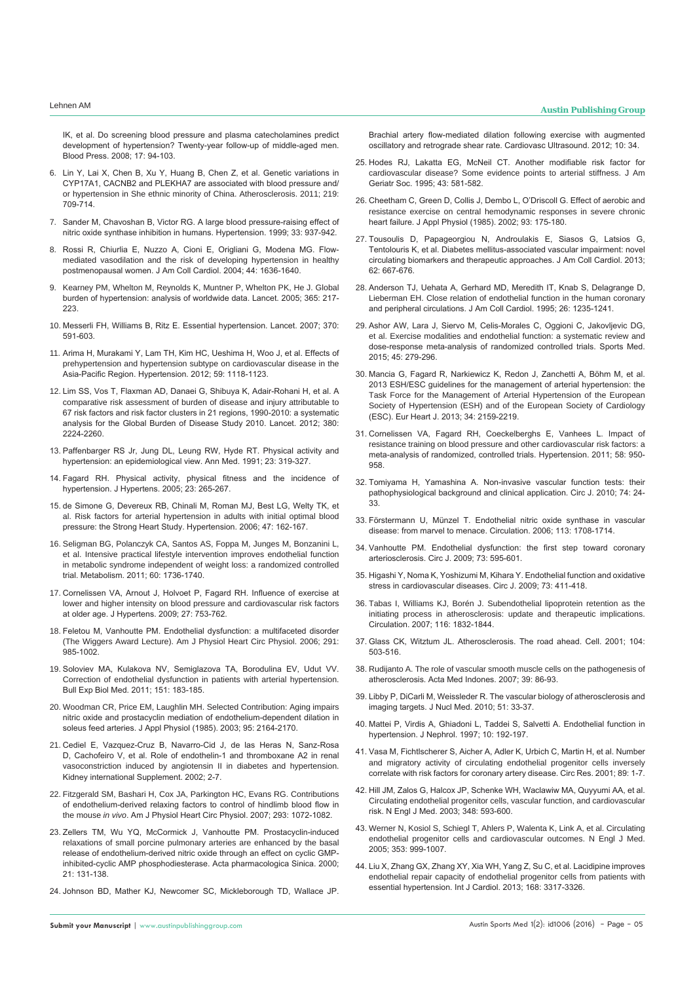IK, et al. Do screening blood pressure and plasma catecholamines predict development of hypertension? Twenty-year follow-up of middle-aged men. Blood Press. 2008; 17: 94-103.

- 6. Lin Y, Lai X, Chen B, Xu Y, Huang B, Chen Z, et al. Genetic variations in CYP17A1, CACNB2 and PLEKHA7 are associated with blood pressure and/ or hypertension in She ethnic minority of China. Atherosclerosis. 2011; 219: 709-714.
- 7. Sander M, Chavoshan B, Victor RG. A large blood pressure-raising effect of nitric oxide synthase inhibition in humans. Hypertension. 1999; 33: 937-942.
- 8. Rossi R, Chiurlia E, Nuzzo A, Cioni E, Origliani G, Modena MG. Flowmediated vasodilation and the risk of developing hypertension in healthy postmenopausal women. J Am Coll Cardiol. 2004; 44: 1636-1640.
- 9. Kearney PM, Whelton M, Reynolds K, Muntner P, Whelton PK, He J. Global burden of hypertension: analysis of worldwide data. Lancet. 2005; 365: 217- 223.
- 10. Messerli FH, Williams B, Ritz E. Essential hypertension. Lancet. 2007; 370: 591-603.
- 11. Arima H, Murakami Y, Lam TH, Kim HC, Ueshima H, Woo J, et al. Effects of prehypertension and hypertension subtype on cardiovascular disease in the Asia-Pacific Region. Hypertension. 2012; 59: 1118-1123.
- 12. Lim SS, Vos T, Flaxman AD, Danaei G, Shibuya K, Adair-Rohani H, et al. A comparative risk assessment of burden of disease and injury attributable to 67 risk factors and risk factor clusters in 21 regions, 1990-2010: a systematic analysis for the Global Burden of Disease Study 2010. Lancet. 2012; 380: 2224-2260.
- 13. Paffenbarger RS Jr, Jung DL, Leung RW, Hyde RT. Physical activity and hypertension: an epidemiological view. Ann Med. 1991; 23: 319-327.
- 14. Fagard RH. Physical activity, physical fitness and the incidence of hypertension. J Hypertens. 2005; 23: 265-267.
- 15. de Simone G, Devereux RB, Chinali M, Roman MJ, Best LG, Welty TK, et al. Risk factors for arterial hypertension in adults with initial optimal blood pressure: the Strong Heart Study. Hypertension. 2006; 47: 162-167.
- 16. Seligman BG, Polanczyk CA, Santos AS, Foppa M, Junges M, Bonzanini L, et al. Intensive practical lifestyle intervention improves endothelial function in metabolic syndrome independent of weight loss: a randomized controlled trial. Metabolism. 2011; 60: 1736-1740.
- 17. Cornelissen VA, Arnout J, Holvoet P, Fagard RH. Influence of exercise at lower and higher intensity on blood pressure and cardiovascular risk factors at older age. J Hypertens. 2009; 27: 753-762.
- 18. Feletou M, Vanhoutte PM. Endothelial dysfunction: a multifaceted disorder (The Wiggers Award Lecture). Am J Physiol Heart Circ Physiol. 2006; 291: 985-1002.
- 19. Soloviev MA, Kulakova NV, Semiglazova TA, Borodulina EV, Udut VV. Correction of endothelial dysfunction in patients with arterial hypertension. Bull Exp Biol Med. 2011; 151: 183-185.
- 20. Woodman CR, Price EM, Laughlin MH. Selected Contribution: Aging impairs nitric oxide and prostacyclin mediation of endothelium-dependent dilation in soleus feed arteries. J Appl Physiol (1985). 2003; 95: 2164-2170.
- 21. Cediel E, Vazquez-Cruz B, Navarro-Cid J, de las Heras N, Sanz-Rosa D, Cachofeiro V, et al. Role of endothelin-1 and thromboxane A2 in renal vasoconstriction induced by angiotensin II in diabetes and hypertension. Kidney international Supplement. 2002; 2-7.
- 22. Fitzgerald SM, Bashari H, Cox JA, Parkington HC, Evans RG. Contributions of endothelium-derived relaxing factors to control of hindlimb blood flow in the mouse *in vivo*. Am J Physiol Heart Circ Physiol. 2007; 293: 1072-1082.
- 23. Zellers TM, Wu YQ, McCormick J, Vanhoutte PM. Prostacyclin-induced relaxations of small porcine pulmonary arteries are enhanced by the basal release of endothelium-derived nitric oxide through an effect on cyclic GMPinhibited-cyclic AMP phosphodiesterase. Acta pharmacologica Sinica. 2000; 21: 131-138.
- 24. Johnson BD, Mather KJ, Newcomer SC, Mickleborough TD, Wallace JP.

**Submit your Manuscript** | www.austinpublishinggroup.com

Brachial artery flow-mediated dilation following exercise with augmented oscillatory and retrograde shear rate. Cardiovasc Ultrasound. 2012; 10: 34.

- 25. Hodes RJ, Lakatta EG, McNeil CT. Another modifiable risk factor for cardiovascular disease? Some evidence points to arterial stiffness. J Am Geriatr Soc. 1995; 43: 581-582.
- 26. Cheetham C, Green D, Collis J, Dembo L, O'Driscoll G. Effect of aerobic and resistance exercise on central hemodynamic responses in severe chronic heart failure. J Appl Physiol (1985). 2002; 93: 175-180.
- 27. Tousoulis D, Papageorgiou N, Androulakis E, Siasos G, Latsios G, Tentolouris K, et al. Diabetes mellitus-associated vascular impairment: novel circulating biomarkers and therapeutic approaches. J Am Coll Cardiol. 2013; 62: 667-676.
- 28. Anderson TJ, Uehata A, Gerhard MD, Meredith IT, Knab S, Delagrange D, Lieberman EH. Close relation of endothelial function in the human coronary and peripheral circulations. J Am Coll Cardiol. 1995; 26: 1235-1241.
- 29. Ashor AW, Lara J, Siervo M, Celis-Morales C, Oggioni C, Jakovljevic DG, et al. Exercise modalities and endothelial function: a systematic review and dose-response meta-analysis of randomized controlled trials. Sports Med. 2015; 45: 279-296.
- 30. Mancia G, Fagard R, Narkiewicz K, Redon J, Zanchetti A, Böhm M, et al. 2013 ESH/ESC guidelines for the management of arterial hypertension: the Task Force for the Management of Arterial Hypertension of the European Society of Hypertension (ESH) and of the European Society of Cardiology (ESC). Eur Heart J. 2013; 34: 2159-2219.
- 31. Cornelissen VA, Fagard RH, Coeckelberghs E, Vanhees L. Impact of resistance training on blood pressure and other cardiovascular risk factors: a meta-analysis of randomized, controlled trials. Hypertension. 2011; 58: 950- 958.
- 32. Tomiyama H, Yamashina A. Non-invasive vascular function tests: their pathophysiological background and clinical application. Circ J. 2010; 74: 24- 33.
- 33. Förstermann U, Münzel T. Endothelial nitric oxide synthase in vascular disease: from marvel to menace. Circulation. 2006; 113: 1708-1714.
- 34. Vanhoutte PM. Endothelial dysfunction: the first step toward coronary arteriosclerosis. Circ J. 2009; 73: 595-601.
- 35. Higashi Y, Noma K, Yoshizumi M, Kihara Y. Endothelial function and oxidative stress in cardiovascular diseases. Circ J. 2009; 73: 411-418.
- 36. Tabas I, Williams KJ, Borén J. Subendothelial lipoprotein retention as the initiating process in atherosclerosis: update and therapeutic implications. Circulation. 2007; 116: 1832-1844.
- 37. Glass CK, Witztum JL. Atherosclerosis. The road ahead. Cell. 2001; 104: 503-516.
- 38. Rudijanto A. The role of vascular smooth muscle cells on the pathogenesis of atherosclerosis. Acta Med Indones. 2007; 39: 86-93.
- 39. Libby P, DiCarli M, Weissleder R. The vascular biology of atherosclerosis and imaging targets. J Nucl Med. 2010; 51: 33-37.
- 40. Mattei P, Virdis A, Ghiadoni L, Taddei S, Salvetti A. Endothelial function in hypertension. J Nephrol. 1997; 10: 192-197.
- 41. Vasa M, Fichtlscherer S, Aicher A, Adler K, Urbich C, Martin H, et al. Number and migratory activity of circulating endothelial progenitor cells inversely correlate with risk factors for coronary artery disease. Circ Res. 2001; 89: 1-7.
- 42. Hill JM, Zalos G, Halcox JP, Schenke WH, Waclawiw MA, Quyyumi AA, et al. Circulating endothelial progenitor cells, vascular function, and cardiovascular risk. N Engl J Med. 2003; 348: 593-600.
- 43. Werner N, Kosiol S, Schiegl T, Ahlers P, Walenta K, Link A, et al. Circulating endothelial progenitor cells and cardiovascular outcomes. N Engl J Med. 2005; 353: 999-1007.
- 44. Liu X, Zhang GX, Zhang XY, Xia WH, Yang Z, Su C, et al. Lacidipine improves endothelial repair capacity of endothelial progenitor cells from patients with essential hypertension. Int J Cardiol. 2013; 168: 3317-3326.